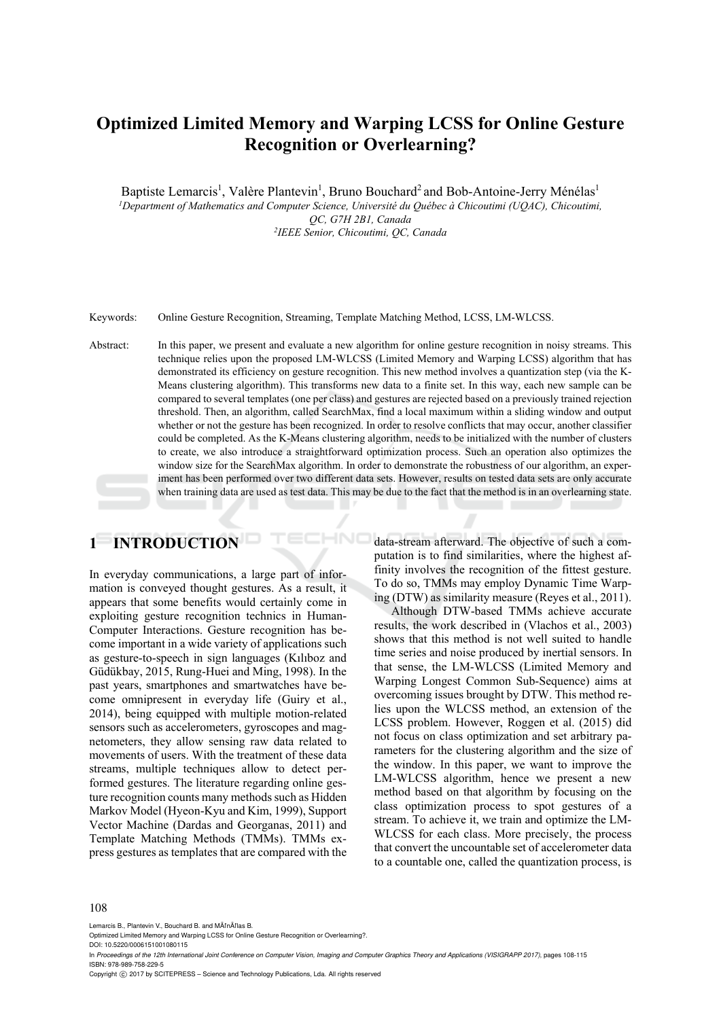# **Optimized Limited Memory and Warping LCSS for Online Gesture Recognition or Overlearning?**

Baptiste Lemarcis<sup>1</sup>, Valère Plantevin<sup>1</sup>, Bruno Bouchard<sup>2</sup> and Bob-Antoine-Jerry Ménélas<sup>1</sup> *1 Department of Mathematics and Computer Science, Université du Québec à Chicoutimi (UQAC), Chicoutimi, QC, G7H 2B1, Canada 2IEEE Senior, Chicoutimi, QC, Canada* 

Keywords: Online Gesture Recognition, Streaming, Template Matching Method, LCSS, LM-WLCSS.

Abstract: In this paper, we present and evaluate a new algorithm for online gesture recognition in noisy streams. This technique relies upon the proposed LM-WLCSS (Limited Memory and Warping LCSS) algorithm that has demonstrated its efficiency on gesture recognition. This new method involves a quantization step (via the K-Means clustering algorithm). This transforms new data to a finite set. In this way, each new sample can be compared to several templates (one per class) and gestures are rejected based on a previously trained rejection threshold. Then, an algorithm, called SearchMax, find a local maximum within a sliding window and output whether or not the gesture has been recognized. In order to resolve conflicts that may occur, another classifier could be completed. As the K-Means clustering algorithm, needs to be initialized with the number of clusters to create, we also introduce a straightforward optimization process. Such an operation also optimizes the window size for the SearchMax algorithm. In order to demonstrate the robustness of our algorithm, an experiment has been performed over two different data sets. However, results on tested data sets are only accurate when training data are used as test data. This may be due to the fact that the method is in an overlearning state.

HNO

# **1 INTRODUCTION**

In everyday communications, a large part of information is conveyed thought gestures. As a result, it appears that some benefits would certainly come in exploiting gesture recognition technics in Human-Computer Interactions. Gesture recognition has become important in a wide variety of applications such as gesture-to-speech in sign languages (Kılıboz and Güdükbay, 2015, Rung-Huei and Ming, 1998). In the past years, smartphones and smartwatches have become omnipresent in everyday life (Guiry et al., 2014), being equipped with multiple motion-related sensors such as accelerometers, gyroscopes and magnetometers, they allow sensing raw data related to movements of users. With the treatment of these data streams, multiple techniques allow to detect performed gestures. The literature regarding online gesture recognition counts many methods such as Hidden Markov Model (Hyeon-Kyu and Kim, 1999), Support Vector Machine (Dardas and Georganas, 2011) and Template Matching Methods (TMMs). TMMs express gestures as templates that are compared with the data-stream afterward. The objective of such a computation is to find similarities, where the highest affinity involves the recognition of the fittest gesture. To do so, TMMs may employ Dynamic Time Warping (DTW) as similarity measure (Reyes et al., 2011).

Although DTW-based TMMs achieve accurate results, the work described in (Vlachos et al., 2003) shows that this method is not well suited to handle time series and noise produced by inertial sensors. In that sense, the LM-WLCSS (Limited Memory and Warping Longest Common Sub-Sequence) aims at overcoming issues brought by DTW. This method relies upon the WLCSS method, an extension of the LCSS problem. However, Roggen et al. (2015) did not focus on class optimization and set arbitrary parameters for the clustering algorithm and the size of the window. In this paper, we want to improve the LM-WLCSS algorithm, hence we present a new method based on that algorithm by focusing on the class optimization process to spot gestures of a stream. To achieve it, we train and optimize the LM-WLCSS for each class. More precisely, the process that convert the uncountable set of accelerometer data to a countable one, called the quantization process, is

#### 108

Lemarcis B., Plantevin V., Bouchard B. and MÃl'nÃl'las B.

DOI: 10.5220/0006151001080115

In *Proceedings of the 12th International Joint Conference on Computer Vision, Imaging and Computer Graphics Theory and Applications (VISIGRAPP 2017)*, pages 108-115 ISBN: 978-989-758-229-5

Copyright © 2017 by SCITEPRESS - Science and Technology Publications, Lda. All rights reserved

Optimized Limited Memory and Warping LCSS for Online Gesture Recognition or Overlearning?.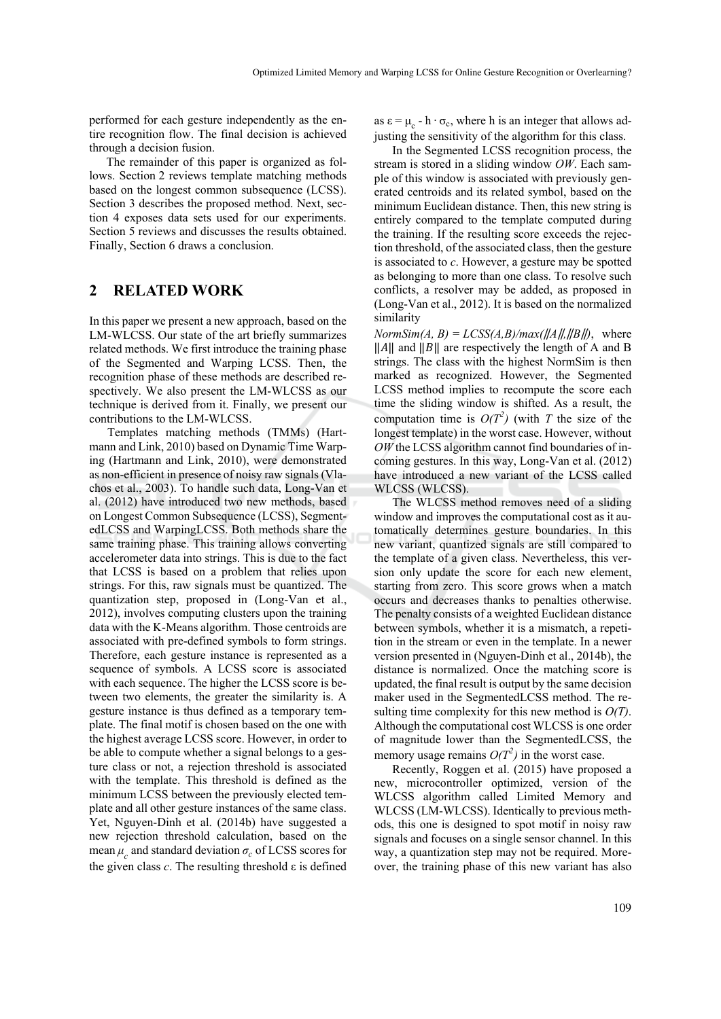performed for each gesture independently as the entire recognition flow. The final decision is achieved through a decision fusion.

The remainder of this paper is organized as follows. Section 2 reviews template matching methods based on the longest common subsequence (LCSS). Section 3 describes the proposed method. Next, section 4 exposes data sets used for our experiments. Section 5 reviews and discusses the results obtained. Finally, Section 6 draws a conclusion.

## **2 RELATED WORK**

In this paper we present a new approach, based on the LM-WLCSS. Our state of the art briefly summarizes related methods. We first introduce the training phase of the Segmented and Warping LCSS. Then, the recognition phase of these methods are described respectively. We also present the LM-WLCSS as our technique is derived from it. Finally, we present our contributions to the LM-WLCSS.

Templates matching methods (TMMs) (Hartmann and Link, 2010) based on Dynamic Time Warping (Hartmann and Link, 2010), were demonstrated as non-efficient in presence of noisy raw signals (Vlachos et al., 2003). To handle such data, Long-Van et al. (2012) have introduced two new methods, based on Longest Common Subsequence (LCSS), SegmentedLCSS and WarpingLCSS. Both methods share the same training phase. This training allows converting accelerometer data into strings. This is due to the fact that LCSS is based on a problem that relies upon strings. For this, raw signals must be quantized. The quantization step, proposed in (Long-Van et al., 2012), involves computing clusters upon the training data with the K-Means algorithm. Those centroids are associated with pre-defined symbols to form strings. Therefore, each gesture instance is represented as a sequence of symbols. A LCSS score is associated with each sequence. The higher the LCSS score is between two elements, the greater the similarity is. A gesture instance is thus defined as a temporary template. The final motif is chosen based on the one with the highest average LCSS score. However, in order to be able to compute whether a signal belongs to a gesture class or not, a rejection threshold is associated with the template. This threshold is defined as the minimum LCSS between the previously elected template and all other gesture instances of the same class. Yet, Nguyen-Dinh et al. (2014b) have suggested a new rejection threshold calculation, based on the mean  $\mu_c$  and standard deviation  $\sigma_c$  of LCSS scores for the given class  $c$ . The resulting threshold  $\varepsilon$  is defined

as  $\varepsilon = \mu_c - h \cdot \sigma_c$ , where h is an integer that allows adjusting the sensitivity of the algorithm for this class.

In the Segmented LCSS recognition process, the stream is stored in a sliding window *OW*. Each sample of this window is associated with previously generated centroids and its related symbol, based on the minimum Euclidean distance. Then, this new string is entirely compared to the template computed during the training. If the resulting score exceeds the rejection threshold, of the associated class, then the gesture is associated to *c*. However, a gesture may be spotted as belonging to more than one class. To resolve such conflicts, a resolver may be added, as proposed in (Long-Van et al., 2012). It is based on the normalized similarity

 $NormSim(A, B) = LCSS(A, B)/max(\frac{||A||}{||B||})$ , where  $\|A\|$  and  $\|B\|$  are respectively the length of A and B strings. The class with the highest NormSim is then marked as recognized. However, the Segmented LCSS method implies to recompute the score each time the sliding window is shifted. As a result, the computation time is  $O(T^2)$  (with *T* the size of the longest template) in the worst case. However, without *OW* the LCSS algorithm cannot find boundaries of incoming gestures. In this way, Long-Van et al. (2012) have introduced a new variant of the LCSS called WLCSS (WLCSS).

The WLCSS method removes need of a sliding window and improves the computational cost as it automatically determines gesture boundaries. In this new variant, quantized signals are still compared to the template of a given class. Nevertheless, this version only update the score for each new element, starting from zero. This score grows when a match occurs and decreases thanks to penalties otherwise. The penalty consists of a weighted Euclidean distance between symbols, whether it is a mismatch, a repetition in the stream or even in the template. In a newer version presented in (Nguyen-Dinh et al., 2014b), the distance is normalized. Once the matching score is updated, the final result is output by the same decision maker used in the SegmentedLCSS method. The resulting time complexity for this new method is *O(T)*. Although the computational cost WLCSS is one order of magnitude lower than the SegmentedLCSS, the memory usage remains  $O(T^2)$  in the worst case.

Recently, Roggen et al. (2015) have proposed a new, microcontroller optimized, version of the WLCSS algorithm called Limited Memory and WLCSS (LM-WLCSS). Identically to previous methods, this one is designed to spot motif in noisy raw signals and focuses on a single sensor channel. In this way, a quantization step may not be required. Moreover, the training phase of this new variant has also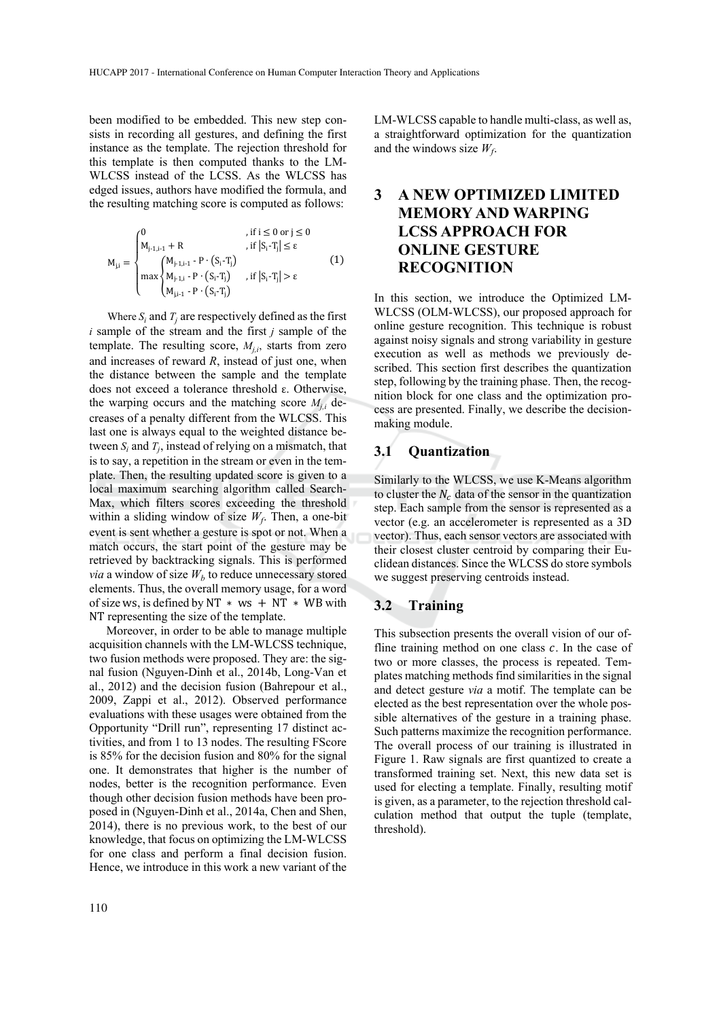been modified to be embedded. This new step consists in recording all gestures, and defining the first instance as the template. The rejection threshold for this template is then computed thanks to the LM-WLCSS instead of the LCSS. As the WLCSS has edged issues, authors have modified the formula, and the resulting matching score is computed as follows:

$$
M_{j,i}=\begin{cases} 0 & \text{, if } i\leq 0 \text{ or } j\leq 0\\ M_{j\cdot 1,i\cdot 1}+R & \text{, if } \left|S_i\cdot T_j\right|\leq \epsilon\\ \max\begin{cases} M_{j\cdot 1,i\cdot 1} \cdot P\cdot \left(S_i\cdot T_j\right)\\ M_{j\cdot 1,i} \cdot P\cdot \left(S_i\cdot T_j\right)\\ M_{j\cdot 1,i} \cdot P\cdot \left(S_i\cdot T_j\right) \end{cases} & \text{, if } \left|S_i\cdot T_j\right|>\epsilon\\ M_{j,i\cdot 1} \cdot P\cdot \left(S_i\cdot T_j\right) \end{cases} \tag{1}
$$

Where  $S_i$  and  $T_j$  are respectively defined as the first *i* sample of the stream and the first *j* sample of the template. The resulting score,  $M_{j,i}$ , starts from zero and increases of reward *R*, instead of just one, when the distance between the sample and the template does not exceed a tolerance threshold ε. Otherwise, the warping occurs and the matching score  $M_{i,i}$  decreases of a penalty different from the WLCSS. This last one is always equal to the weighted distance between  $S_i$  and  $T_i$ , instead of relying on a mismatch, that is to say, a repetition in the stream or even in the template. Then, the resulting updated score is given to a local maximum searching algorithm called Search-Max, which filters scores exceeding the threshold within a sliding window of size  $W_f$ . Then, a one-bit event is sent whether a gesture is spot or not. When a match occurs, the start point of the gesture may be retrieved by backtracking signals. This is performed *via* a window of size  $W_b$  to reduce unnecessary stored elements. Thus, the overall memory usage, for a word of size ws, is defined by NT  $*$  ws  $+$  NT  $*$  WB with NT representing the size of the template.

Moreover, in order to be able to manage multiple acquisition channels with the LM-WLCSS technique, two fusion methods were proposed. They are: the signal fusion (Nguyen-Dinh et al., 2014b, Long-Van et al., 2012) and the decision fusion (Bahrepour et al., 2009, Zappi et al., 2012). Observed performance evaluations with these usages were obtained from the Opportunity "Drill run", representing 17 distinct activities, and from 1 to 13 nodes. The resulting FScore is 85% for the decision fusion and 80% for the signal one. It demonstrates that higher is the number of nodes, better is the recognition performance. Even though other decision fusion methods have been proposed in (Nguyen-Dinh et al., 2014a, Chen and Shen, 2014), there is no previous work, to the best of our knowledge, that focus on optimizing the LM-WLCSS for one class and perform a final decision fusion. Hence, we introduce in this work a new variant of the

LM-WLCSS capable to handle multi-class, as well as, a straightforward optimization for the quantization and the windows size  $W_f$ .

## **3 A NEW OPTIMIZED LIMITED MEMORY AND WARPING LCSS APPROACH FOR ONLINE GESTURE RECOGNITION**

In this section, we introduce the Optimized LM-WLCSS (OLM-WLCSS), our proposed approach for online gesture recognition. This technique is robust against noisy signals and strong variability in gesture execution as well as methods we previously described. This section first describes the quantization step, following by the training phase. Then, the recognition block for one class and the optimization process are presented. Finally, we describe the decisionmaking module.

## **3.1 Quantization**

Similarly to the WLCSS, we use K-Means algorithm to cluster the  $N_c$  data of the sensor in the quantization step. Each sample from the sensor is represented as a vector (e.g. an accelerometer is represented as a 3D vector). Thus, each sensor vectors are associated with their closest cluster centroid by comparing their Euclidean distances. Since the WLCSS do store symbols we suggest preserving centroids instead.

### **3.2 Training**

This subsection presents the overall vision of our offline training method on one class  $c$ . In the case of two or more classes, the process is repeated. Templates matching methods find similarities in the signal and detect gesture *via* a motif. The template can be elected as the best representation over the whole possible alternatives of the gesture in a training phase. Such patterns maximize the recognition performance. The overall process of our training is illustrated in Figure 1. Raw signals are first quantized to create a transformed training set. Next, this new data set is used for electing a template. Finally, resulting motif is given, as a parameter, to the rejection threshold calculation method that output the tuple (template, threshold).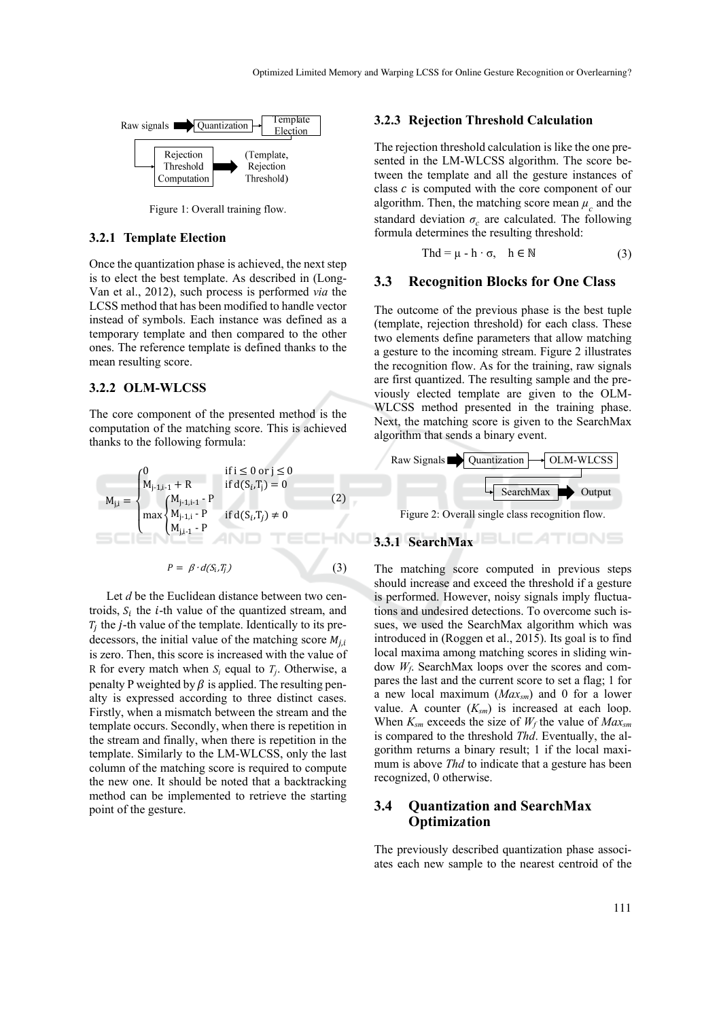

Figure 1: Overall training flow.

## **3.2.1 Template Election**

Once the quantization phase is achieved, the next step is to elect the best template. As described in (Long-Van et al., 2012), such process is performed *via* the LCSS method that has been modified to handle vector instead of symbols. Each instance was defined as a temporary template and then compared to the other ones. The reference template is defined thanks to the mean resulting score.

#### **3.2.2 OLM-WLCSS**

The core component of the presented method is the computation of the matching score. This is achieved thanks to the following formula:

$$
M_{j,i} = \begin{cases} 0 & \text{if } i \le 0 \text{ or } j \le 0 \\ M_{j+1,i-1} + R & \text{if } d(S_i, T_j) = 0 \\ \max \begin{cases} M_{j-1,i-1} - P \\ M_{j-1,i} - P \\ M_{j,i-1} - P \end{cases} & (2) \\ M_{j,i-1} - P & \text{if } d(S_i, T_j) \ne 0 \\ P = \beta \cdot d(S_i, T_j) \end{cases}
$$
 (3)

Let *d* be the Euclidean distance between two centroids,  $S_i$  the *i*-th value of the quantized stream, and  $T_i$  the *j*-th value of the template. Identically to its predecessors, the initial value of the matching score  $M_{i,i}$ is zero. Then, this score is increased with the value of R for every match when  $S_i$  equal to  $T_i$ . Otherwise, a penalty P weighted by  $\beta$  is applied. The resulting penalty is expressed according to three distinct cases. Firstly, when a mismatch between the stream and the template occurs. Secondly, when there is repetition in the stream and finally, when there is repetition in the template. Similarly to the LM-WLCSS, only the last column of the matching score is required to compute the new one. It should be noted that a backtracking method can be implemented to retrieve the starting point of the gesture.

#### **3.2.3 Rejection Threshold Calculation**

The rejection threshold calculation is like the one presented in the LM-WLCSS algorithm. The score between the template and all the gesture instances of class  $c$  is computed with the core component of our algorithm. Then, the matching score mean  $\mu_c$  and the standard deviation  $\sigma_c$  are calculated. The following formula determines the resulting threshold:

$$
Thd = \mu - h \cdot \sigma, \quad h \in \mathbb{N} \tag{3}
$$

#### **3.3 Recognition Blocks for One Class**

The outcome of the previous phase is the best tuple (template, rejection threshold) for each class. These two elements define parameters that allow matching a gesture to the incoming stream. Figure 2 illustrates the recognition flow. As for the training, raw signals are first quantized. The resulting sample and the previously elected template are given to the OLM-WLCSS method presented in the training phase. Next, the matching score is given to the SearchMax algorithm that sends a binary event.



TIONS

## **3.3.1 SearchMax**

The matching score computed in previous steps should increase and exceed the threshold if a gesture is performed. However, noisy signals imply fluctuations and undesired detections. To overcome such issues, we used the SearchMax algorithm which was introduced in (Roggen et al., 2015). Its goal is to find local maxima among matching scores in sliding window *Wf*. SearchMax loops over the scores and compares the last and the current score to set a flag; 1 for a new local maximum (*Maxsm*) and 0 for a lower value. A counter  $(K_{sm})$  is increased at each loop. When  $K_{sm}$  exceeds the size of  $W_f$  the value of  $Max_{sm}$ is compared to the threshold *Thd*. Eventually, the algorithm returns a binary result; 1 if the local maximum is above *Thd* to indicate that a gesture has been recognized, 0 otherwise.

## **3.4 Quantization and SearchMax Optimization**

The previously described quantization phase associates each new sample to the nearest centroid of the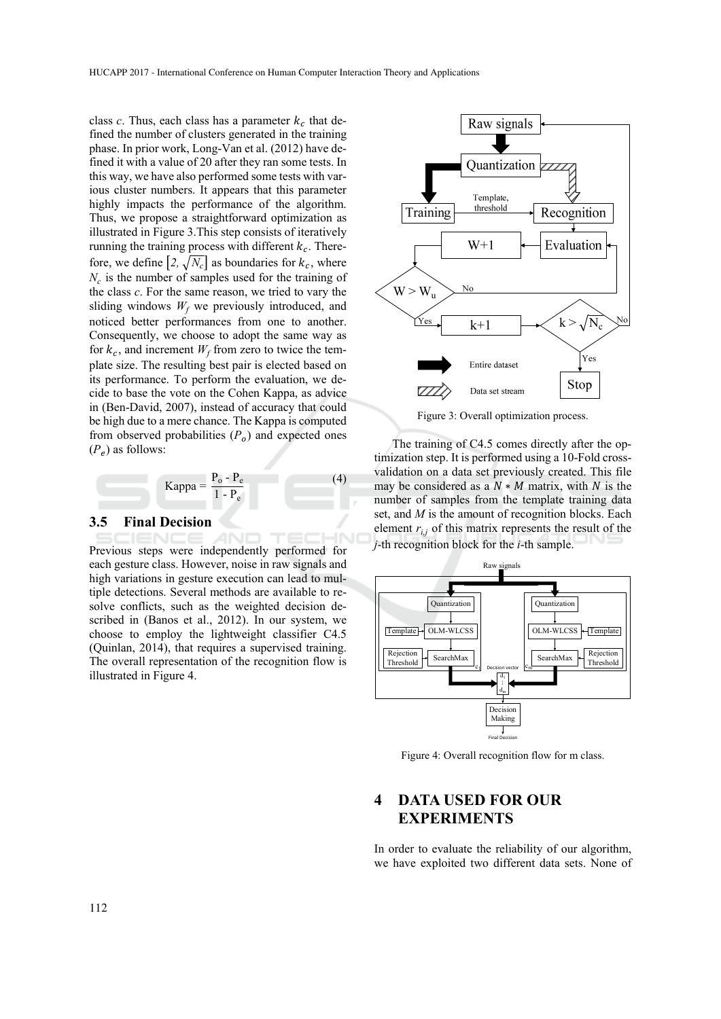class  $c$ . Thus, each class has a parameter  $k_c$  that defined the number of clusters generated in the training phase. In prior work, Long-Van et al. (2012) have defined it with a value of 20 after they ran some tests. In this way, we have also performed some tests with various cluster numbers. It appears that this parameter highly impacts the performance of the algorithm. Thus, we propose a straightforward optimization as illustrated in Figure 3.This step consists of iteratively running the training process with different  $k<sub>c</sub>$ . Therefore, we define  $[2, \sqrt{N_c}]$  as boundaries for  $k_c$ , where  $N_c$  is the number of samples used for the training of the class *c*. For the same reason, we tried to vary the sliding windows  $W_f$  we previously introduced, and noticed better performances from one to another. Consequently, we choose to adopt the same way as for  $k_c$ , and increment  $W_f$  from zero to twice the template size. The resulting best pair is elected based on its performance. To perform the evaluation, we decide to base the vote on the Cohen Kappa, as advice in (Ben-David, 2007), instead of accuracy that could be high due to a mere chance. The Kappa is computed from observed probabilities  $(P<sub>o</sub>)$  and expected ones  $(P_e)$  as follows:

$$
Kappa = \frac{P_o - P_e}{1 - P_e}
$$
 (4)

### **3.5 Final Decision**

Previous steps were independently performed for each gesture class. However, noise in raw signals and high variations in gesture execution can lead to multiple detections. Several methods are available to resolve conflicts, such as the weighted decision described in (Banos et al., 2012). In our system, we choose to employ the lightweight classifier C4.5 (Quinlan, 2014), that requires a supervised training. The overall representation of the recognition flow is illustrated in Figure 4.



Figure 3: Overall optimization process.

The training of C4.5 comes directly after the optimization step. It is performed using a 10-Fold crossvalidation on a data set previously created. This file may be considered as a  $N * M$  matrix, with N is the number of samples from the template training data set, and *M* is the amount of recognition blocks. Each element  $r_{i,j}$  of this matrix represents the result of the *j*-th recognition block for the *i*-th sample.



Figure 4: Overall recognition flow for m class.

## **4 DATA USED FOR OUR EXPERIMENTS**

In order to evaluate the reliability of our algorithm, we have exploited two different data sets. None of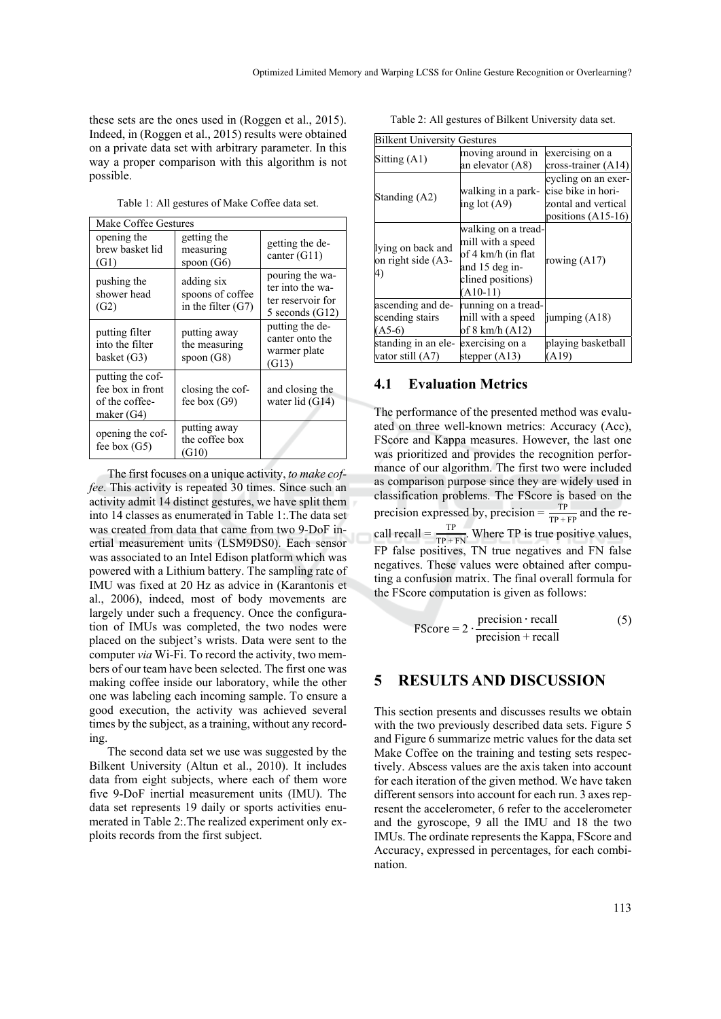these sets are the ones used in (Roggen et al., 2015). Indeed, in (Roggen et al., 2015) results were obtained on a private data set with arbitrary parameter. In this way a proper comparison with this algorithm is not possible.

Table 1: All gestures of Make Coffee data set.

| Make Coffee Gestures                                                 |                                                        |                                                                               |  |
|----------------------------------------------------------------------|--------------------------------------------------------|-------------------------------------------------------------------------------|--|
| opening the<br>brew basket lid<br>(G1)                               | getting the<br>measuring<br>spoon $(G6)$               | getting the de-<br>canter $(G11)$                                             |  |
| pushing the<br>shower head<br>(G2)                                   | adding six<br>spoons of coffee<br>in the filter $(G7)$ | pouring the wa-<br>ter into the wa-<br>ter reservoir for<br>5 seconds $(G12)$ |  |
| putting filter<br>into the filter<br>basket (G3)                     | putting away<br>the measuring<br>spoon (G8)            | putting the de-<br>canter onto the<br>warmer plate<br>(G13)                   |  |
| putting the cof-<br>fee box in front<br>of the coffee-<br>maker (G4) | closing the cof-<br>fee box $(G9)$                     | and closing the<br>water lid $(G14)$                                          |  |
| opening the cof-<br>fee box $(G5)$                                   | putting away<br>the coffee box<br>(G10)                |                                                                               |  |

The first focuses on a unique activity, *to make coffee*. This activity is repeated 30 times. Since such an activity admit 14 distinct gestures, we have split them into 14 classes as enumerated in Table 1:.The data set was created from data that came from two 9-DoF inertial measurement units (LSM9DS0). Each sensor was associated to an Intel Edison platform which was powered with a Lithium battery. The sampling rate of IMU was fixed at 20 Hz as advice in (Karantonis et al., 2006), indeed, most of body movements are largely under such a frequency. Once the configuration of IMUs was completed, the two nodes were placed on the subject's wrists. Data were sent to the computer *via* Wi-Fi. To record the activity, two members of our team have been selected. The first one was making coffee inside our laboratory, while the other one was labeling each incoming sample. To ensure a good execution, the activity was achieved several times by the subject, as a training, without any recording.

The second data set we use was suggested by the Bilkent University (Altun et al., 2010). It includes data from eight subjects, where each of them wore five 9-DoF inertial measurement units (IMU). The data set represents 19 daily or sports activities enumerated in Table 2:.The realized experiment only exploits records from the first subject.

Table 2: All gestures of Bilkent University data set.

| <b>Bilkent University Gestures</b>               |                                                                                                                     |                                                                                          |  |
|--------------------------------------------------|---------------------------------------------------------------------------------------------------------------------|------------------------------------------------------------------------------------------|--|
| Sitting $(A1)$                                   | moving around in<br>an elevator (A8)                                                                                | exercising on a<br>cross-trainer $(A14)$                                                 |  |
| Standing (A2)                                    | walking in a park-<br>ing lot $(A9)$                                                                                | cycling on an exer-<br>cise bike in hori-<br>zontal and vertical<br>positions $(A15-16)$ |  |
| lying on back and<br>on right side (A3-<br>4)    | walking on a tread-<br>mill with a speed<br>of 4 km/h (in flat<br>and 15 deg in-<br>clined positions)<br>$(A10-11)$ | rowing $(A17)$                                                                           |  |
| ascending and de-<br>scending stairs<br>$(A5-6)$ | running on a tread-<br>mill with a speed<br>of 8 km/h (A12)                                                         | jumping $(A18)$                                                                          |  |
| standing in an ele-<br>vator still (A7)          | exercising on a<br>stepper $(A13)$                                                                                  | playing basketball<br>(A19)                                                              |  |

### **4.1 Evaluation Metrics**

The performance of the presented method was evaluated on three well-known metrics: Accuracy (Acc), FScore and Kappa measures. However, the last one was prioritized and provides the recognition performance of our algorithm. The first two were included as comparison purpose since they are widely used in classification problems. The FScore is based on the precision expressed by, precision =  $\frac{TP}{TP + FP}$  and the recall recall =  $\frac{TP}{TP + FN}$ . Where TP is true positive values, FP false positives, TN true negatives and FN false negatives. These values were obtained after computing a confusion matrix. The final overall formula for the FScore computation is given as follows:

$$
FScore = 2 \cdot \frac{precision \cdot recall}{precision + recall}
$$
 (5)

## **5 RESULTS AND DISCUSSION**

This section presents and discusses results we obtain with the two previously described data sets. Figure 5 and Figure 6 summarize metric values for the data set Make Coffee on the training and testing sets respectively. Abscess values are the axis taken into account for each iteration of the given method. We have taken different sensors into account for each run. 3 axes represent the accelerometer, 6 refer to the accelerometer and the gyroscope, 9 all the IMU and 18 the two IMUs. The ordinate represents the Kappa, FScore and Accuracy, expressed in percentages, for each combination.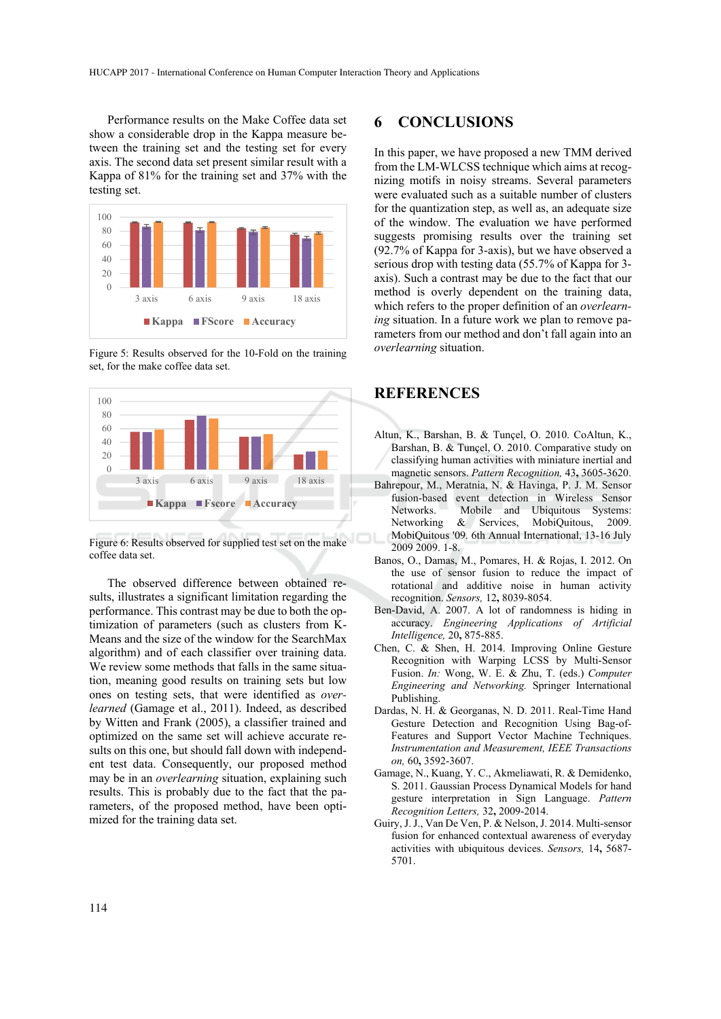Performance results on the Make Coffee data set show a considerable drop in the Kappa measure between the training set and the testing set for every axis. The second data set present similar result with a Kappa of 81% for the training set and 37% with the testing set.



Figure 5: Results observed for the 10-Fold on the training set, for the make coffee data set.



Figure 6: Results observed for supplied test set on the make coffee data set.

The observed difference between obtained results, illustrates a significant limitation regarding the performance. This contrast may be due to both the optimization of parameters (such as clusters from K-Means and the size of the window for the SearchMax algorithm) and of each classifier over training data. We review some methods that falls in the same situation, meaning good results on training sets but low ones on testing sets, that were identified as *overlearned* (Gamage et al., 2011). Indeed, as described by Witten and Frank (2005), a classifier trained and optimized on the same set will achieve accurate results on this one, but should fall down with independent test data. Consequently, our proposed method may be in an *overlearning* situation, explaining such results. This is probably due to the fact that the parameters, of the proposed method, have been optimized for the training data set.

## **6 CONCLUSIONS**

In this paper, we have proposed a new TMM derived from the LM-WLCSS technique which aims at recognizing motifs in noisy streams. Several parameters were evaluated such as a suitable number of clusters for the quantization step, as well as, an adequate size of the window. The evaluation we have performed suggests promising results over the training set (92.7% of Kappa for 3-axis), but we have observed a serious drop with testing data (55.7% of Kappa for 3 axis). Such a contrast may be due to the fact that our method is overly dependent on the training data, which refers to the proper definition of an *overlearning* situation. In a future work we plan to remove parameters from our method and don't fall again into an *overlearning* situation.

## **REFERENCES**

- Altun, K., Barshan, B. & Tunçel, O. 2010. CoAltun, K., Barshan, B. & Tunçel, O. 2010. Comparative study on classifying human activities with miniature inertial and magnetic sensors. *Pattern Recognition,* 43**,** 3605-3620.
- Bahrepour, M., Meratnia, N. & Havinga, P. J. M. Sensor fusion-based event detection in Wireless Sensor Networks. Mobile and Ubiquitous Systems: Networking & Services, MobiQuitous, 2009. MobiQuitous '09. 6th Annual International, 13-16 July 2009 2009. 1-8.
- Banos, O., Damas, M., Pomares, H. & Rojas, I. 2012. On the use of sensor fusion to reduce the impact of rotational and additive noise in human activity recognition. *Sensors,* 12**,** 8039-8054.
- Ben-David, A. 2007. A lot of randomness is hiding in accuracy. *Engineering Applications of Artificial Intelligence,* 20**,** 875-885.
- Chen, C. & Shen, H. 2014. Improving Online Gesture Recognition with Warping LCSS by Multi-Sensor Fusion. *In:* Wong, W. E. & Zhu, T. (eds.) *Computer Engineering and Networking.* Springer International Publishing.
- Dardas, N. H. & Georganas, N. D. 2011. Real-Time Hand Gesture Detection and Recognition Using Bag-of-Features and Support Vector Machine Techniques. *Instrumentation and Measurement, IEEE Transactions on,* 60**,** 3592-3607.
- Gamage, N., Kuang, Y. C., Akmeliawati, R. & Demidenko, S. 2011. Gaussian Process Dynamical Models for hand gesture interpretation in Sign Language. *Pattern Recognition Letters,* 32**,** 2009-2014.
- Guiry, J. J., Van De Ven, P. & Nelson, J. 2014. Multi-sensor fusion for enhanced contextual awareness of everyday activities with ubiquitous devices. *Sensors,* 14**,** 5687- 5701.